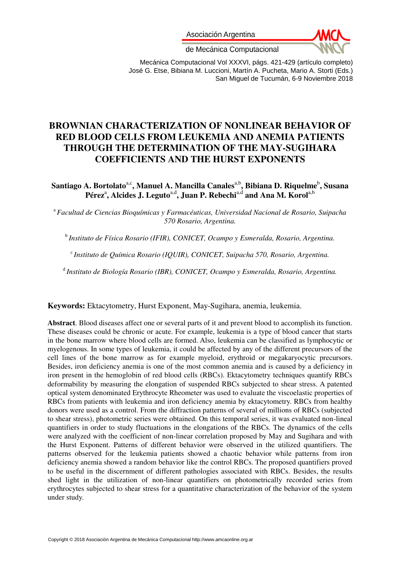Asociación Argentina



de Mecánica Computacional

Mecánica Computacional Vol XXXVI, págs. 421-429 (artículo completo) José G. Etse, Bibiana M. Luccioni, Martín A. Pucheta, Mario A. Storti (Eds.) San Miguel de Tucumán, 6-9 Noviembre 2018

# **BROWNIAN CHARACTERIZATION OF NONLINEAR BEHAVIOR OF RED BLOOD CELLS FROM LEUKEMIA AND ANEMIA PATIENTS THROUGH THE DETERMINATION OF THE MAY-SUGIHARA COEFFICIENTS AND THE HURST EXPONENTS**

 $\mathbf S$ antiago A. Bortolato $\mathrm{^{a,c}}$ , Manuel A. Mancilla Canales $\mathrm{^{a,b}}$ , Bibiana D. Riquelme $\mathrm{^{b}}$ , Susana Pérez<sup>a</sup>, Alcides J. Leguto<sup>a,d</sup>, Juan P. Rebechi<sup>a,d</sup> and Ana M. Korol<sup>a,b</sup>

<sup>a</sup>*Facultad de Ciencias Bioquímicas y Farmacéuticas, Universidad Nacional de Rosario, Suipacha 570 Rosario, Argentina.* 

<sup>b</sup>*Instituto de Física Rosario (IFIR), CONICET, Ocampo y Esmeralda, Rosario, Argentina.* 

<sup>c</sup>*Instituto de Química Rosario (IQUIR), CONICET, Suipacha 570, Rosario, Argentina.* 

<sup>d</sup>*Instituto de Biología Rosario (IBR), CONICET, Ocampo y Esmeralda, Rosario, Argentina.* 

**Keywords:** Ektacytometry, Hurst Exponent, May-Sugihara, anemia, leukemia.

**Abstract**. Blood diseases affect one or several parts of it and prevent blood to accomplish its function. These diseases could be chronic or acute. For example, leukemia is a type of blood cancer that starts in the bone marrow where blood cells are formed. Also, leukemia can be classified as lymphocytic or myelogenous. In some types of leukemia, it could be affected by any of the different precursors of the cell lines of the bone marrow as for example myeloid, erythroid or megakaryocytic precursors. Besides, iron deficiency anemia is one of the most common anemia and is caused by a deficiency in iron present in the hemoglobin of red blood cells (RBCs). Ektacytometry techniques quantify RBCs deformability by measuring the elongation of suspended RBCs subjected to shear stress. A patented optical system denominated Erythrocyte Rheometer was used to evaluate the viscoelastic properties of RBCs from patients with leukemia and iron deficiency anemia by ektacytometry. RBCs from healthy donors were used as a control. From the diffraction patterns of several of millions of RBCs (subjected to shear stress), photometric series were obtained. On this temporal series, it was evaluated non-lineal quantifiers in order to study fluctuations in the elongations of the RBCs. The dynamics of the cells were analyzed with the coefficient of non-linear correlation proposed by May and Sugihara and with the Hurst Exponent. Patterns of different behavior were observed in the utilized quantifiers. The patterns observed for the leukemia patients showed a chaotic behavior while patterns from iron deficiency anemia showed a random behavior like the control RBCs. The proposed quantifiers proved to be useful in the discernment of different pathologies associated with RBCs. Besides, the results shed light in the utilization of non-linear quantifiers on photometrically recorded series from erythrocytes subjected to shear stress for a quantitative characterization of the behavior of the system under study.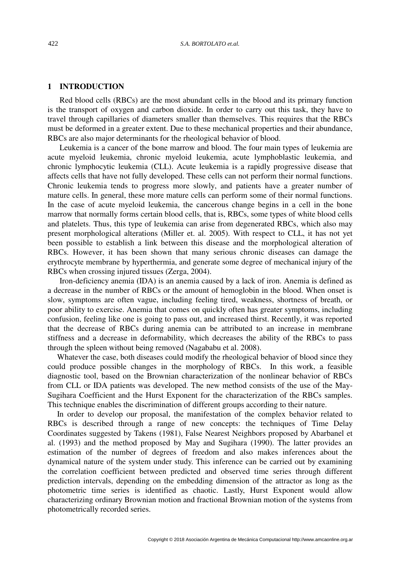## **1 INTRODUCTION**

Red blood cells (RBCs) are the most abundant cells in the blood and its primary function is the transport of oxygen and carbon dioxide. In order to carry out this task, they have to travel through capillaries of diameters smaller than themselves. This requires that the RBCs must be deformed in a greater extent. Due to these mechanical properties and their abundance, RBCs are also major determinants for the rheological behavior of blood.

Leukemia is a cancer of the bone marrow and blood. The four main types of leukemia are acute myeloid leukemia, chronic myeloid leukemia, acute lymphoblastic leukemia, and chronic lymphocytic leukemia (CLL). Acute leukemia is a rapidly progressive disease that affects cells that have not fully developed. These cells can not perform their normal functions. Chronic leukemia tends to progress more slowly, and patients have a greater number of mature cells. In general, these more mature cells can perform some of their normal functions. In the case of acute myeloid leukemia, the cancerous change begins in a cell in the bone marrow that normally forms certain blood cells, that is, RBCs, some types of white blood cells and platelets. Thus, this type of leukemia can arise from degenerated RBCs, which also may present morphological alterations (Miller et. al. 2005). With respect to CLL, it has not yet been possible to establish a link between this disease and the morphological alteration of RBCs. However, it has been shown that many serious chronic diseases can damage the erythrocyte membrane by hyperthermia, and generate some degree of mechanical injury of the RBCs when crossing injured tissues (Zerga, 2004).

Iron-deficiency anemia (IDA) is an anemia caused by a lack of iron. Anemia is defined as a decrease in the number of RBCs or the amount of hemoglobin in the blood. When onset is slow, symptoms are often vague, including feeling tired, weakness, shortness of breath, or poor ability to exercise. Anemia that comes on quickly often has greater symptoms, including confusion, feeling like one is going to pass out, and increased thirst. Recently, it was reported that the decrease of RBCs during anemia can be attributed to an increase in membrane stiffness and a decrease in deformability, which decreases the ability of the RBCs to pass through the spleen without being removed (Nagababu et al. 2008).

Whatever the case, both diseases could modify the rheological behavior of blood since they could produce possible changes in the morphology of RBCs. In this work, a feasible diagnostic tool, based on the Brownian characterization of the nonlinear behavior of RBCs from CLL or IDA patients was developed. The new method consists of the use of the May-Sugihara Coefficient and the Hurst Exponent for the characterization of the RBCs samples. This technique enables the discrimination of different groups according to their nature.

In order to develop our proposal, the manifestation of the complex behavior related to RBCs is described through a range of new concepts: the techniques of Time Delay Coordinates suggested by Takens (1981), False Nearest Neighbors proposed by Abarbanel et al. (1993) and the method proposed by May and Sugihara (1990). The latter provides an estimation of the number of degrees of freedom and also makes inferences about the dynamical nature of the system under study. This inference can be carried out by examining the correlation coefficient between predicted and observed time series through different prediction intervals, depending on the embedding dimension of the attractor as long as the photometric time series is identified as chaotic. Lastly, Hurst Exponent would allow characterizing ordinary Brownian motion and fractional Brownian motion of the systems from photometrically recorded series.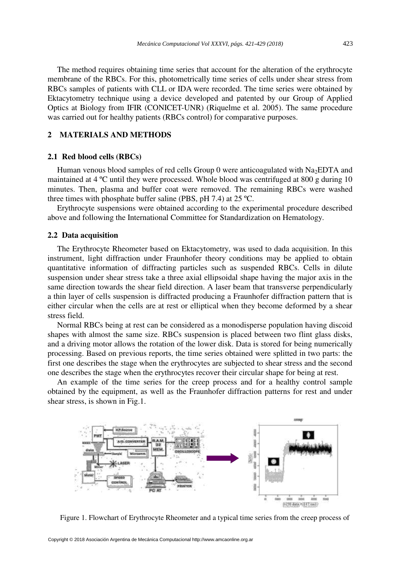The method requires obtaining time series that account for the alteration of the erythrocyte membrane of the RBCs. For this, photometrically time series of cells under shear stress from RBCs samples of patients with CLL or IDA were recorded. The time series were obtained by Ektacytometry technique using a device developed and patented by our Group of Applied Optics at Biology from IFIR (CONICET-UNR) (Riquelme et al. 2005). The same procedure was carried out for healthy patients (RBCs control) for comparative purposes.

# **2 MATERIALS AND METHODS**

#### **2.1 Red blood cells (RBCs)**

Human venous blood samples of red cells Group 0 were anticoagulated with  $Na<sub>2</sub>EDTA$  and maintained at 4 ºC until they were processed. Whole blood was centrifuged at 800 g during 10 minutes. Then, plasma and buffer coat were removed. The remaining RBCs were washed three times with phosphate buffer saline (PBS, pH 7.4) at 25 ºC.

Erythrocyte suspensions were obtained according to the experimental procedure described above and following the International Committee for Standardization on Hematology.

## **2.2 Data acquisition**

The Erythrocyte Rheometer based on Ektacytometry, was used to dada acquisition. In this instrument, light diffraction under Fraunhofer theory conditions may be applied to obtain quantitative information of diffracting particles such as suspended RBCs. Cells in dilute suspension under shear stress take a three axial ellipsoidal shape having the major axis in the same direction towards the shear field direction. A laser beam that transverse perpendicularly a thin layer of cells suspension is diffracted producing a Fraunhofer diffraction pattern that is either circular when the cells are at rest or elliptical when they become deformed by a shear stress field.

Normal RBCs being at rest can be considered as a monodisperse population having discoid shapes with almost the same size. RBCs suspension is placed between two flint glass disks, and a driving motor allows the rotation of the lower disk. Data is stored for being numerically processing. Based on previous reports, the time series obtained were splitted in two parts: the first one describes the stage when the erythrocytes are subjected to shear stress and the second one describes the stage when the erythrocytes recover their circular shape for being at rest.

An example of the time series for the creep process and for a healthy control sample obtained by the equipment, as well as the Fraunhofer diffraction patterns for rest and under shear stress, is shown in Fig.1.



Figure 1. Flowchart of Erythrocyte Rheometer and a typical time series from the creep process of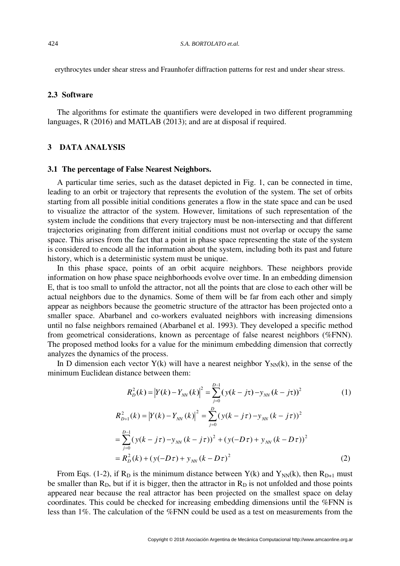erythrocytes under shear stress and Fraunhofer diffraction patterns for rest and under shear stress.

## **2.3 Software**

The algorithms for estimate the quantifiers were developed in two different programming languages, R (2016) and MATLAB (2013); and are at disposal if required.

## **3 DATA ANALYSIS**

#### **3.1 The percentage of False Nearest Neighbors.**

A particular time series, such as the dataset depicted in Fig. 1, can be connected in time, leading to an orbit or trajectory that represents the evolution of the system. The set of orbits starting from all possible initial conditions generates a flow in the state space and can be used to visualize the attractor of the system. However, limitations of such representation of the system include the conditions that every trajectory must be non-intersecting and that different trajectories originating from different initial conditions must not overlap or occupy the same space. This arises from the fact that a point in phase space representing the state of the system is considered to encode all the information about the system, including both its past and future history, which is a deterministic system must be unique.

In this phase space, points of an orbit acquire neighbors. These neighbors provide information on how phase space neighborhoods evolve over time. In an embedding dimension E, that is too small to unfold the attractor, not all the points that are close to each other will be actual neighbors due to the dynamics. Some of them will be far from each other and simply appear as neighbors because the geometric structure of the attractor has been projected onto a smaller space. Abarbanel and co-workers evaluated neighbors with increasing dimensions until no false neighbors remained (Abarbanel et al. 1993). They developed a specific method from geometrical considerations, known as percentage of false nearest neighbors (%FNN). The proposed method looks for a value for the minimum embedding dimension that correctly analyzes the dynamics of the process.

In D dimension each vector Y(k) will have a nearest neighbor  $Y_{NN}(k)$ , in the sense of the minimum Euclidean distance between them:

$$
R_D^2(k) = |Y(k) - Y_{NN}(k)|^2 = \sum_{j=0}^{D-1} (y(k - j\tau) - y_{NN}(k - j\tau))^2
$$
(1)  

$$
R_{D+1}^2(k) = |Y(k) - Y_{NN}(k)|^2 = \sum_{j=0}^{D} (y(k - j\tau) - y_{NN}(k - j\tau))^2
$$
  

$$
= \sum_{j=0}^{D-1} (y(k - j\tau) - y_{NN}(k - j\tau))^2 + (y(-D\tau) + y_{NN}(k - D\tau))^2
$$
  

$$
= R_D^2(k) + (y(-D\tau) + y_{NN}(k - D\tau)^2)
$$
(2)

From Eqs. (1-2), if  $R_D$  is the minimum distance between Y(k) and Y<sub>NN</sub>(k), then  $R_{D+1}$  must be smaller than  $R_D$ , but if it is bigger, then the attractor in  $R_D$  is not unfolded and those points appeared near because the real attractor has been projected on the smallest space on delay coordinates. This could be checked for increasing embedding dimensions until the %FNN is less than 1%. The calculation of the %FNN could be used as a test on measurements from the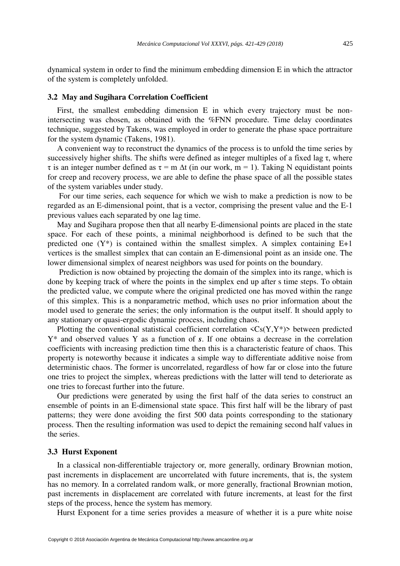dynamical system in order to find the minimum embedding dimension E in which the attractor of the system is completely unfolded.

## **3.2 May and Sugihara Correlation Coefficient**

First, the smallest embedding dimension E in which every trajectory must be nonintersecting was chosen, as obtained with the %FNN procedure. Time delay coordinates technique, suggested by Takens, was employed in order to generate the phase space portraiture for the system dynamic (Takens, 1981).

A convenient way to reconstruct the dynamics of the process is to unfold the time series by successively higher shifts. The shifts were defined as integer multiples of a fixed lag  $\tau$ , where τ is an integer number defined as τ = m ∆t (in our work, m = 1). Taking N equidistant points for creep and recovery process, we are able to define the phase space of all the possible states of the system variables under study.

 For our time series, each sequence for which we wish to make a prediction is now to be regarded as an E-dimensional point, that is a vector, comprising the present value and the E-1 previous values each separated by one lag time.

May and Sugihara propose then that all nearby E-dimensional points are placed in the state space. For each of these points, a minimal neighborhood is defined to be such that the predicted one  $(Y^*)$  is contained within the smallest simplex. A simplex containing  $E+1$ vertices is the smallest simplex that can contain an E-dimensional point as an inside one. The lower dimensional simplex of nearest neighbors was used for points on the boundary.

 Prediction is now obtained by projecting the domain of the simplex into its range, which is done by keeping track of where the points in the simplex end up after s time steps. To obtain the predicted value, we compute where the original predicted one has moved within the range of this simplex. This is a nonparametric method, which uses no prior information about the model used to generate the series; the only information is the output itself. It should apply to any stationary or quasi-ergodic dynamic process, including chaos.

Plotting the conventional statistical coefficient correlation  $\langle Cs(Y, Y^*)\rangle$  between predicted Y\* and observed values Y as a function of *s*. If one obtains a decrease in the correlation coefficients with increasing prediction time then this is a characteristic feature of chaos. This property is noteworthy because it indicates a simple way to differentiate additive noise from deterministic chaos. The former is uncorrelated, regardless of how far or close into the future one tries to project the simplex, whereas predictions with the latter will tend to deteriorate as one tries to forecast further into the future.

Our predictions were generated by using the first half of the data series to construct an ensemble of points in an E-dimensional state space. This first half will be the library of past patterns; they were done avoiding the first 500 data points corresponding to the stationary process. Then the resulting information was used to depict the remaining second half values in the series.

## **3.3 Hurst Exponent**

In a classical non-differentiable trajectory or, more generally, ordinary Brownian motion, past increments in displacement are uncorrelated with future increments, that is, the system has no memory. In a correlated random walk, or more generally, fractional Brownian motion, past increments in displacement are correlated with future increments, at least for the first steps of the process, hence the system has memory.

Hurst Exponent for a time series provides a measure of whether it is a pure white noise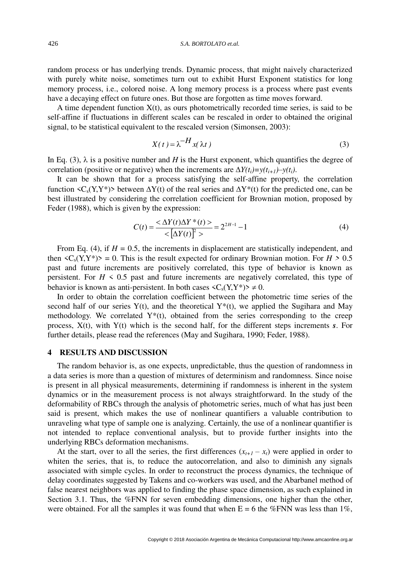random process or has underlying trends. Dynamic process, that might naively characterized with purely white noise, sometimes turn out to exhibit Hurst Exponent statistics for long memory process, i.e., colored noise. A long memory process is a process where past events have a decaying effect on future ones. But those are forgotten as time moves forward.

A time dependent function  $X(t)$ , as ours photometrically recorded time series, is said to be self-affine if fluctuations in different scales can be rescaled in order to obtained the original signal, to be statistical equivalent to the rescaled version (Simonsen, 2003):

$$
X(t) = \lambda^{-H} x(\lambda t)
$$
 (3)

In Eq. (3),  $\lambda$  is a positive number and *H* is the Hurst exponent, which quantifies the degree of correlation (positive or negative) when the increments are  $\Delta Y(t_i) = y(t_{i+1}) - y(t_i)$ .

It can be shown that for a process satisfying the self-affine property, the correlation function  $\langle C_s(Y, Y^*)\rangle$  between  $\Delta Y(t)$  of the real series and  $\Delta Y^*(t)$  for the predicted one, can be best illustrated by considering the correlation coefficient for Brownian motion, proposed by Feder (1988), which is given by the expression:

$$
C(t) = \frac{\langle \Delta Y(t) \Delta Y^*(t) \rangle}{\langle \Delta Y(t) \rangle} = 2^{2H-1} - 1
$$
\n(4)

From Eq. (4), if  $H = 0.5$ , the increments in displacement are statistically independent, and then  $\langle C_s(Y, Y^*) \rangle = 0$ . This is the result expected for ordinary Brownian motion. For  $H \ge 0.5$ past and future increments are positively correlated, this type of behavior is known as persistent. For  $H \leq 0.5$  past and future increments are negatively correlated, this type of behavior is known as anti-persistent. In both cases  $\langle C_s(Y, Y^*) \rangle \neq 0$ .

In order to obtain the correlation coefficient between the photometric time series of the second half of our series  $Y(t)$ , and the theoretical  $Y^*(t)$ , we applied the Sugihara and May methodology. We correlated  $Y^*(t)$ , obtained from the series corresponding to the creep process, X(t), with Y(t) which is the second half, for the different steps increments *s*. For further details, please read the references (May and Sugihara, 1990; Feder, 1988).

## **4 RESULTS AND DISCUSSION**

The random behavior is, as one expects, unpredictable, thus the question of randomness in a data series is more than a question of mixtures of determinism and randomness. Since noise is present in all physical measurements, determining if randomness is inherent in the system dynamics or in the measurement process is not always straightforward. In the study of the deformability of RBCs through the analysis of photometric series, much of what has just been said is present, which makes the use of nonlinear quantifiers a valuable contribution to unraveling what type of sample one is analyzing. Certainly, the use of a nonlinear quantifier is not intended to replace conventional analysis, but to provide further insights into the underlying RBCs deformation mechanisms.

At the start, over to all the series, the first differences  $(x_{t+1} - x_t)$  were applied in order to whiten the series, that is, to reduce the autocorrelation, and also to diminish any signals associated with simple cycles. In order to reconstruct the process dynamics, the technique of delay coordinates suggested by Takens and co-workers was used, and the Abarbanel method of false nearest neighbors was applied to finding the phase space dimension, as such explained in Section 3.1. Thus, the %FNN for seven embedding dimensions, one higher than the other, were obtained. For all the samples it was found that when  $E = 6$  the %FNN was less than 1%,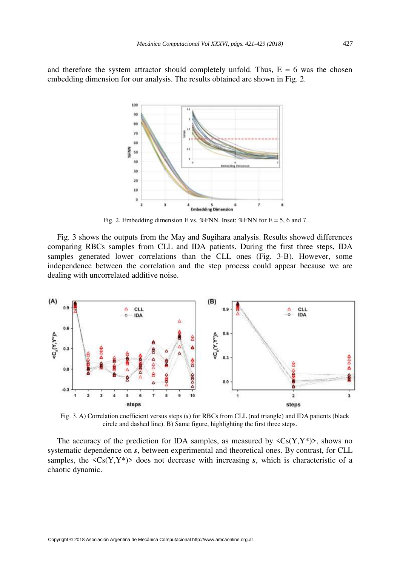and therefore the system attractor should completely unfold. Thus,  $E = 6$  was the chosen embedding dimension for our analysis. The results obtained are shown in Fig. 2.



Fig. 2. Embedding dimension E vs. %FNN. Inset: %FNN for E = 5, 6 and 7.

Fig. 3 shows the outputs from the May and Sugihara analysis. Results showed differences comparing RBCs samples from CLL and IDA patients. During the first three steps, IDA samples generated lower correlations than the CLL ones (Fig. 3-B). However, some independence between the correlation and the step process could appear because we are dealing with uncorrelated additive noise.



Fig. 3. A) Correlation coefficient versus steps (*s*) for RBCs from CLL (red triangle) and IDA patients (black circle and dashed line). B) Same figure, highlighting the first three steps.

The accuracy of the prediction for IDA samples, as measured by  $\langle Cs(Y,Y^*)\rangle$ , shows no systematic dependence on *s*, between experimental and theoretical ones. By contrast, for CLL samples, the  $\langle Cs(Y, Y^*)\rangle$  does not decrease with increasing *s*, which is characteristic of a chaotic dynamic.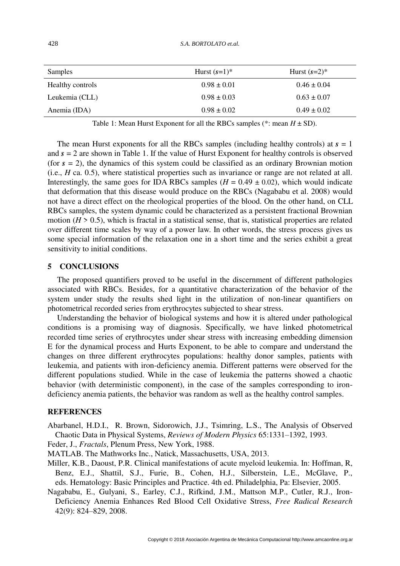| Samples          | Hurst $(s=1)^*$ | Hurst $(s=2)^*$ |
|------------------|-----------------|-----------------|
| Healthy controls | $0.98 \pm 0.01$ | $0.46 \pm 0.04$ |
| Leukemia (CLL)   | $0.98 \pm 0.03$ | $0.63 \pm 0.07$ |
| Anemia (IDA)     | $0.98 \pm 0.02$ | $0.49 \pm 0.02$ |

Table 1: Mean Hurst Exponent for all the RBCs samples ( $*$ : mean  $H \pm SD$ ).

The mean Hurst exponents for all the RBCs samples (including healthy controls) at  $s = 1$ and  $s = 2$  are shown in Table 1. If the value of Hurst Exponent for healthy controls is observed (for *s* = 2), the dynamics of this system could be classified as an ordinary Brownian motion (i.e., *H* ca. 0.5), where statistical properties such as invariance or range are not related at all. Interestingly, the same goes for IDA RBCs samples  $(H = 0.49 \pm 0.02)$ , which would indicate that deformation that this disease would produce on the RBCs (Nagababu et al. 2008) would not have a direct effect on the rheological properties of the blood. On the other hand, on CLL RBCs samples, the system dynamic could be characterized as a persistent fractional Brownian motion ( $H > 0.5$ ), which is fractal in a statistical sense, that is, statistical properties are related over different time scales by way of a power law. In other words, the stress process gives us some special information of the relaxation one in a short time and the series exhibit a great sensitivity to initial conditions.

## **5 CONCLUSIONS**

The proposed quantifiers proved to be useful in the discernment of different pathologies associated with RBCs. Besides, for a quantitative characterization of the behavior of the system under study the results shed light in the utilization of non-linear quantifiers on photometrical recorded series from erythrocytes subjected to shear stress.

Understanding the behavior of biological systems and how it is altered under pathological conditions is a promising way of diagnosis. Specifically, we have linked photometrical recorded time series of erythrocytes under shear stress with increasing embedding dimension E for the dynamical process and Hurts Exponent, to be able to compare and understand the changes on three different erythrocytes populations: healthy donor samples, patients with leukemia, and patients with iron-deficiency anemia. Different patterns were observed for the different populations studied. While in the case of leukemia the patterns showed a chaotic behavior (with deterministic component), in the case of the samples corresponding to irondeficiency anemia patients, the behavior was random as well as the healthy control samples.

## **REFERENCES**

Abarbanel, H.D.I., R. Brown, Sidorowich, J.J., Tsimring, L.S., The Analysis of Observed Chaotic Data in Physical Systems, *Reviews of Modern Physics* 65:1331–1392, 1993.

Feder, J., *Fractals*, Plenum Press, New York, 1988.

- MATLAB. The Mathworks Inc., Natick, Massachusetts, USA, 2013.
- Miller, K.B., Daoust, P.R. Clinical manifestations of acute myeloid leukemia. In: Hoffman, R, Benz, E.J., Shattil, S.J., Furie, B., Cohen, H.J., Silberstein, L.E., McGlave, P., eds. Hematology: Basic Principles and Practice. 4th ed. Philadelphia, Pa: Elsevier, 2005.
- Nagababu, E., Gulyani, S., Earley, C.J., Rifkind, J.M., Mattson M.P., Cutler, R.J., Iron-Deficiency Anemia Enhances Red Blood Cell Oxidative Stress, *Free Radical Research* 42(9): 824–[829, 2008.](https://www.ncbi.nlm.nih.gov/entrez/eutils/elink.fcgi?dbfrom=pubmed&retmode=ref&cmd=prlinks&id=19051108)